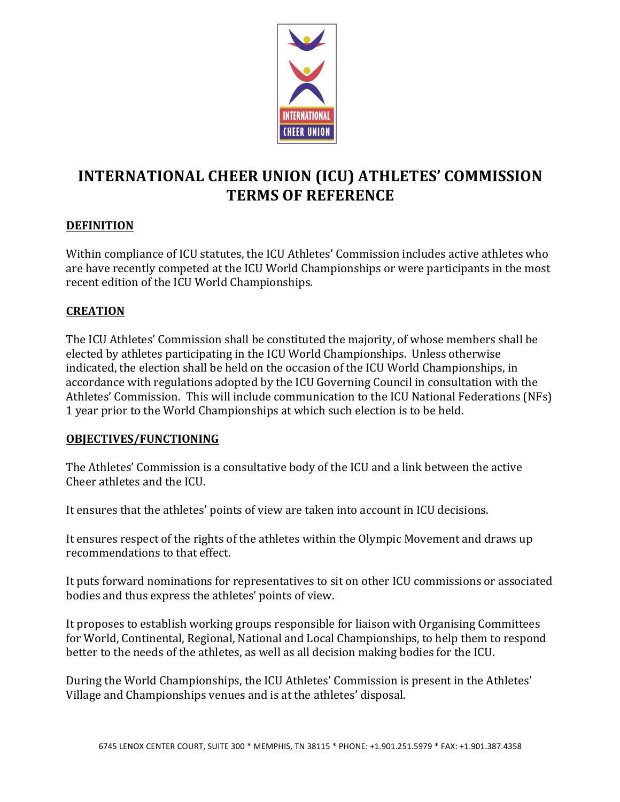

# **INTERNATIONAL CHEER UNION (ICU) ATHLETES' COMMISSION TERMS OF REFERENCE**

### **DEFINITION**

Within compliance of ICU statutes, the ICU Athletes' Commission includes active athletes who are have recently competed at the ICU World Championships or were participants in the most recent edition of the ICU World Championships.

### **CREATION**

The ICU Athletes' Commission shall be constituted the majority, of whose members shall be elected by athletes participating in the ICU World Championships. Unless otherwise indicated, the election shall be held on the occasion of the ICU World Championships, in accordance with regulations adopted by the ICU Governing Council in consultation with the Athletes' Commission. This will include communication to the ICU National Federations (NFs) 1 year prior to the World Championships at which such election is to be held.

#### **OBJECTIVES/FUNCTIONING**

The Athletes' Commission is a consultative body of the ICU and a link between the active Cheer athletes and the ICU.

It ensures that the athletes' points of view are taken into account in ICU decisions.

It ensures respect of the rights of the athletes within the Olympic Movement and draws up recommendations to that effect.

It puts forward nominations for representatives to sit on other ICU commissions or associated bodies and thus express the athletes' points of view.

It proposes to establish working groups responsible for liaison with Organising Committees for World, Continental, Regional, National and Local Championships, to help them to respond better to the needs of the athletes, as well as all decision making bodies for the ICU.

During the World Championships, the ICU Athletes' Commission is present in the Athletes' Village and Championships venues and is at the athletes' disposal.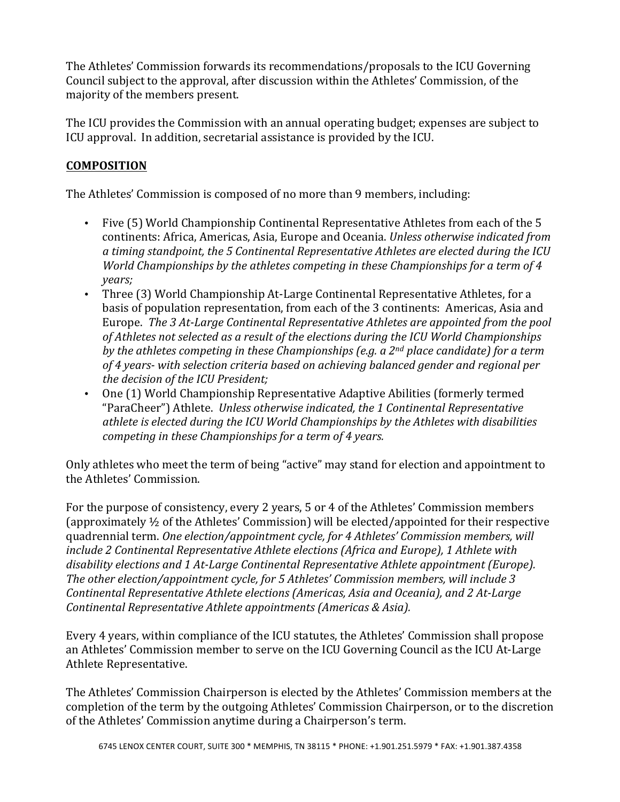The Athletes' Commission forwards its recommendations/proposals to the ICU Governing Council subject to the approval, after discussion within the Athletes' Commission, of the majority of the members present.

The ICU provides the Commission with an annual operating budget; expenses are subject to ICU approval. In addition, secretarial assistance is provided by the ICU.

## **COMPOSITION**

The Athletes' Commission is composed of no more than 9 members, including:

- Five (5) World Championship Continental Representative Athletes from each of the 5 continents: Africa, Americas, Asia, Europe and Oceania. *Unless otherwise indicated from* a timing standpoint, the 5 Continental Representative Athletes are elected during the ICU *World Championships by the athletes competing in these Championships for a term of 4 years;*
- Three (3) World Championship At-Large Continental Representative Athletes, for a basis of population representation, from each of the 3 continents: Americas, Asia and Europe. The 3 At-Large Continental Representative Athletes are appointed from the pool of Athletes not selected as a result of the elections during the ICU World Championships *by* the athletes competing in these Championships (e.g. a 2<sup>nd</sup> place candidate) for a term *of 4 years- with selection criteria based on achieving balanced gender and regional per the decision of the ICU President;*
- One (1) World Championship Representative Adaptive Abilities (formerly termed "ParaCheer") Athlete. *Unless otherwise indicated, the 1 Continental Representative athlete is elected during the ICU World Championships by the Athletes with disabilities competing in these Championships for a term of 4 years.*

Only athletes who meet the term of being "active" may stand for election and appointment to the Athletes' Commission.

For the purpose of consistency, every 2 years, 5 or 4 of the Athletes' Commission members (approximately  $\frac{1}{2}$  of the Athletes' Commission) will be elected/appointed for their respective quadrennial term. One election/appointment cycle, for 4 Athletes' Commission members, will *include 2 Continental Representative Athlete elections (Africa and Europe), 1 Athlete with* disability elections and 1 At-Large Continental Representative Athlete appointment (Europe). The other election/appointment cycle, for 5 Athletes' Commission members, will include 3 *Continental Representative Athlete elections (Americas, Asia and Oceania), and 2 At-Large Continental Representative Athlete appointments (Americas & Asia).* 

Every 4 years, within compliance of the ICU statutes, the Athletes' Commission shall propose an Athletes' Commission member to serve on the ICU Governing Council as the ICU At-Large Athlete Representative.

The Athletes' Commission Chairperson is elected by the Athletes' Commission members at the completion of the term by the outgoing Athletes' Commission Chairperson, or to the discretion of the Athletes' Commission anytime during a Chairperson's term.